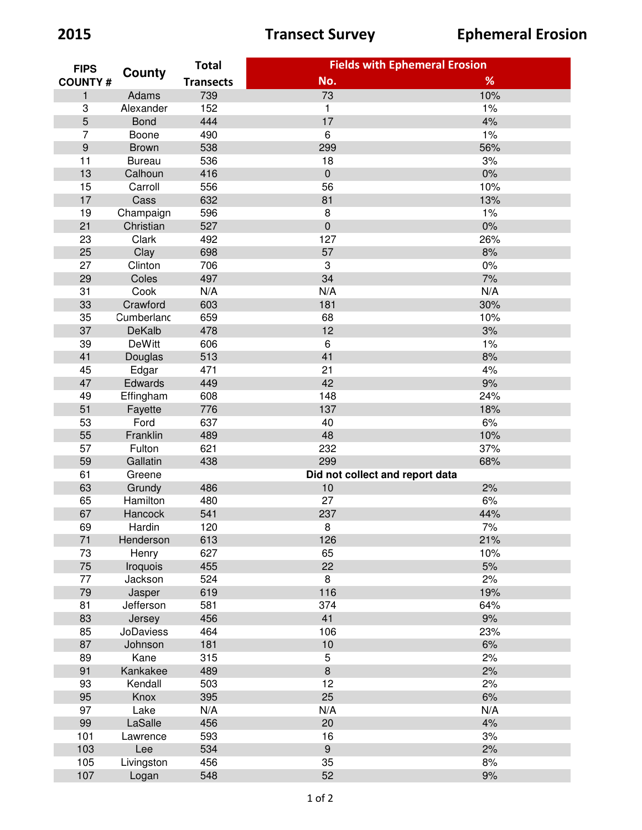| <b>FIPS</b><br><b>COUNTY#</b> | County           | <b>Total</b>     | <b>Fields with Ephemeral Erosion</b> |     |
|-------------------------------|------------------|------------------|--------------------------------------|-----|
|                               |                  | <b>Transects</b> | No.                                  | %   |
| $\mathbf{1}$                  | Adams            | 739              | 73                                   | 10% |
| 3                             | Alexander        | 152              | $\mathbf{1}$                         | 1%  |
| 5                             | <b>Bond</b>      | 444              | 17                                   | 4%  |
| 7                             | Boone            | 490              | 6                                    | 1%  |
| $\overline{9}$                | <b>Brown</b>     | 538              | 299                                  | 56% |
| 11                            | <b>Bureau</b>    | 536              | 18                                   | 3%  |
| 13                            | Calhoun          | 416              | $\pmb{0}$                            | 0%  |
| 15                            | Carroll          | 556              | 56                                   | 10% |
| 17                            | Cass             | 632              | 81                                   | 13% |
| 19                            | Champaign        | 596              | 8                                    | 1%  |
| 21                            | Christian        | 527              | $\mathbf 0$                          | 0%  |
| 23                            | Clark            | 492              | 127                                  | 26% |
| 25                            | Clay             | 698              | 57                                   | 8%  |
| 27                            | Clinton          | 706              | $\sqrt{3}$                           | 0%  |
| 29                            | Coles            | 497              | 34                                   | 7%  |
| 31                            | Cook             | N/A              | N/A                                  | N/A |
| 33                            | Crawford         | 603              | 181                                  | 30% |
| 35                            | Cumberlanc       | 659              | 68                                   | 10% |
| 37                            | DeKalb           | 478              | 12                                   | 3%  |
| 39                            | <b>DeWitt</b>    | 606              | $\,6\,$                              | 1%  |
| 41                            | Douglas          | 513              | 41                                   | 8%  |
| 45                            | Edgar            | 471              | 21                                   | 4%  |
| 47                            | Edwards          | 449              | 42                                   | 9%  |
| 49                            |                  | 608              | 148                                  | 24% |
|                               | Effingham        |                  | 137                                  |     |
| 51                            | Fayette          | 776              | 40                                   | 18% |
| 53                            | Ford             | 637              |                                      | 6%  |
| 55                            | Franklin         | 489              | 48                                   | 10% |
| 57                            | Fulton           | 621              | 232                                  | 37% |
| 59                            | Gallatin         | 438              | 299                                  | 68% |
| 61                            | Greene           |                  | Did not collect and report data      |     |
| 63                            | Grundy           | 486              | 10                                   | 2%  |
| 65                            | Hamilton         | 480              | 27                                   | 6%  |
| 67                            | Hancock          | 541              | 237                                  | 44% |
| 69                            | Hardin           | 120              | 8                                    | 7%  |
| 71                            | Henderson        | 613              | 126                                  | 21% |
| 73                            | Henry            | 627              | 65                                   | 10% |
| 75                            | Iroquois         | 455              | 22                                   | 5%  |
| 77                            | Jackson          | 524              | $\,8\,$                              | 2%  |
| 79                            | Jasper           | 619              | 116                                  | 19% |
| 81                            | Jefferson        | 581              | 374                                  | 64% |
| 83                            | Jersey           | 456              | 41                                   | 9%  |
| 85                            | <b>JoDaviess</b> | 464              | 106                                  | 23% |
| 87                            | Johnson          | 181              | $10$                                 | 6%  |
| 89                            | Kane             | 315              | 5                                    | 2%  |
| 91                            | Kankakee         | 489              | $\,8\,$                              | 2%  |
| 93                            | Kendall          | 503              | 12                                   | 2%  |
| 95                            | Knox             | 395              | 25                                   | 6%  |
| 97                            | Lake             | N/A              | N/A                                  | N/A |
| 99                            | LaSalle          | 456              | 20                                   | 4%  |
| 101                           | Lawrence         | 593              | 16                                   | 3%  |
| 103                           | Lee              | 534              | $9\,$                                | 2%  |
| 105                           | Livingston       | 456              | 35                                   | 8%  |
| 107                           | Logan            | 548              | 52                                   | 9%  |